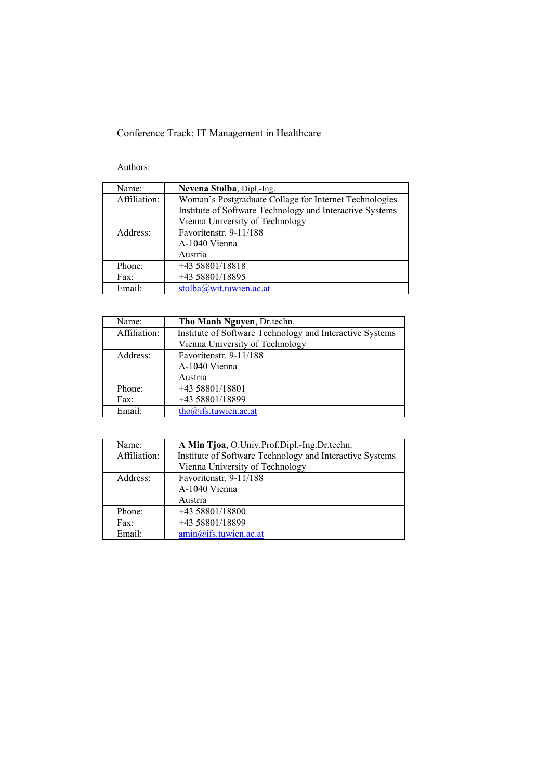Conference Track: IT Management in Healthcare

# Authors:

| Name:        | Nevena Stolba, Dipl.-Ing.                                |
|--------------|----------------------------------------------------------|
| Affiliation: | Woman's Postgraduate Collage for Internet Technologies   |
|              | Institute of Software Technology and Interactive Systems |
|              | Vienna University of Technology                          |
| Address:     | Favoritenstr. 9-11/188                                   |
|              | A-1040 Vienna                                            |
|              | Austria                                                  |
| Phone:       | $+4358801/18818$                                         |
| Fax:         | $+4358801/18895$                                         |
| Email:       | stolba@wit.tuwien.ac.at                                  |

| Name:        | Tho Manh Nguyen, Dr.techn.                               |
|--------------|----------------------------------------------------------|
| Affiliation: | Institute of Software Technology and Interactive Systems |
|              | Vienna University of Technology                          |
| Address:     | Favoritenstr. 9-11/188                                   |
|              | A-1040 Vienna                                            |
|              | Austria                                                  |
| Phone:       | +43 58801/18801                                          |
| Fax:         | +43 58801/18899                                          |
| Email:       | tho $@$ ifs.tuwien.ac.at                                 |

| Name:        | A Min Tjoa, O.Univ.Prof.Dipl.-Ing.Dr.techn.              |
|--------------|----------------------------------------------------------|
| Affiliation: | Institute of Software Technology and Interactive Systems |
|              | Vienna University of Technology                          |
| Address:     | Favoritenstr. 9-11/188                                   |
|              | A-1040 Vienna                                            |
|              | Austria                                                  |
| Phone:       | +43 58801/18800                                          |
| Fax:         | +43 58801/18899                                          |
| Email:       | amin@ifs.tuwien.ac.at                                    |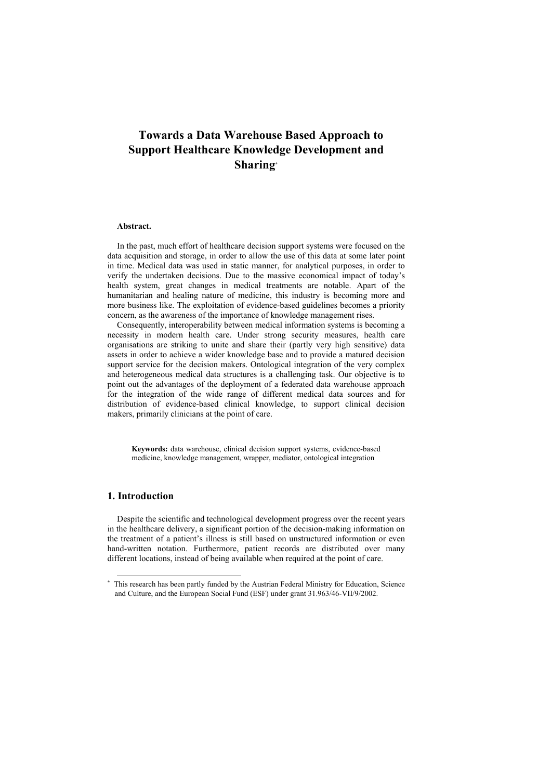# **Towards a Data Warehouse Based Approach to Support Healthcare Knowledge Development and Sharing\***

### **Abstract.**

In the past, much effort of healthcare decision support systems were focused on the data acquisition and storage, in order to allow the use of this data at some later point in time. Medical data was used in static manner, for analytical purposes, in order to verify the undertaken decisions. Due to the massive economical impact of today's health system, great changes in medical treatments are notable. Apart of the humanitarian and healing nature of medicine, this industry is becoming more and more business like. The exploitation of evidence-based guidelines becomes a priority concern, as the awareness of the importance of knowledge management rises.

Consequently, interoperability between medical information systems is becoming a necessity in modern health care. Under strong security measures, health care organisations are striking to unite and share their (partly very high sensitive) data assets in order to achieve a wider knowledge base and to provide a matured decision support service for the decision makers. Ontological integration of the very complex and heterogeneous medical data structures is a challenging task. Our objective is to point out the advantages of the deployment of a federated data warehouse approach for the integration of the wide range of different medical data sources and for distribution of evidence-based clinical knowledge, to support clinical decision makers, primarily clinicians at the point of care.

**Keywords:** data warehouse, clinical decision support systems, evidence-based medicine, knowledge management, wrapper, mediator, ontological integration

### **1. Introduction**

Despite the scientific and technological development progress over the recent years in the healthcare delivery, a significant portion of the decision-making information on the treatment of a patient's illness is still based on unstructured information or even hand-written notation. Furthermore, patient records are distributed over many different locations, instead of being available when required at the point of care.

<sup>\*</sup> This research has been partly funded by the Austrian Federal Ministry for Education, Science and Culture, and the European Social Fund (ESF) under grant 31.963/46-VII/9/2002.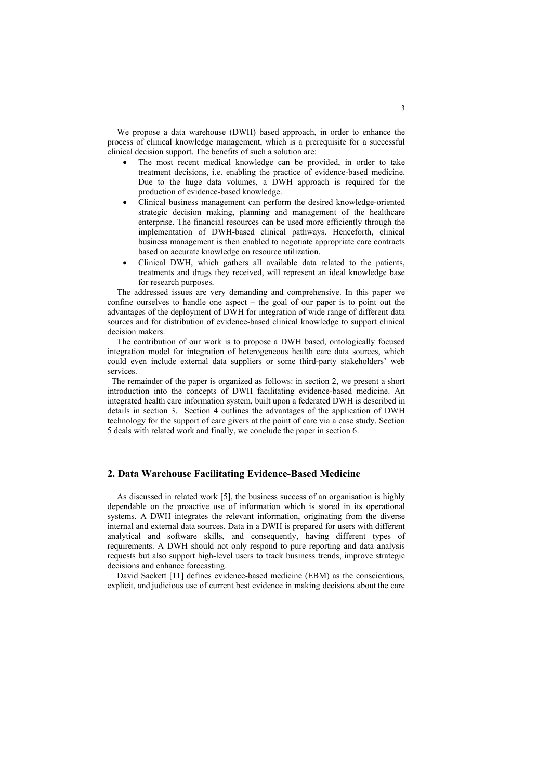We propose a data warehouse (DWH) based approach, in order to enhance the process of clinical knowledge management, which is a prerequisite for a successful clinical decision support. The benefits of such a solution are:

- The most recent medical knowledge can be provided, in order to take treatment decisions, i.e. enabling the practice of evidence-based medicine. Due to the huge data volumes, a DWH approach is required for the production of evidence-based knowledge.
- Clinical business management can perform the desired knowledge-oriented strategic decision making, planning and management of the healthcare enterprise. The financial resources can be used more efficiently through the implementation of DWH-based clinical pathways. Henceforth, clinical business management is then enabled to negotiate appropriate care contracts based on accurate knowledge on resource utilization.
- Clinical DWH, which gathers all available data related to the patients, treatments and drugs they received, will represent an ideal knowledge base for research purposes.

The addressed issues are very demanding and comprehensive. In this paper we confine ourselves to handle one aspect – the goal of our paper is to point out the advantages of the deployment of DWH for integration of wide range of different data sources and for distribution of evidence-based clinical knowledge to support clinical decision makers.

The contribution of our work is to propose a DWH based, ontologically focused integration model for integration of heterogeneous health care data sources, which could even include external data suppliers or some third-party stakeholders' web services.

 The remainder of the paper is organized as follows: in section 2, we present a short introduction into the concepts of DWH facilitating evidence-based medicine. An integrated health care information system, built upon a federated DWH is described in details in section 3. Section 4 outlines the advantages of the application of DWH technology for the support of care givers at the point of care via a case study. Section 5 deals with related work and finally, we conclude the paper in section 6.

### **2. Data Warehouse Facilitating Evidence-Based Medicine**

As discussed in related work [5], the business success of an organisation is highly dependable on the proactive use of information which is stored in its operational systems. A DWH integrates the relevant information, originating from the diverse internal and external data sources. Data in a DWH is prepared for users with different analytical and software skills, and consequently, having different types of requirements. A DWH should not only respond to pure reporting and data analysis requests but also support high-level users to track business trends, improve strategic decisions and enhance forecasting.

David Sackett [11] defines evidence-based medicine (EBM) as the conscientious, explicit, and judicious use of current best evidence in making decisions about the care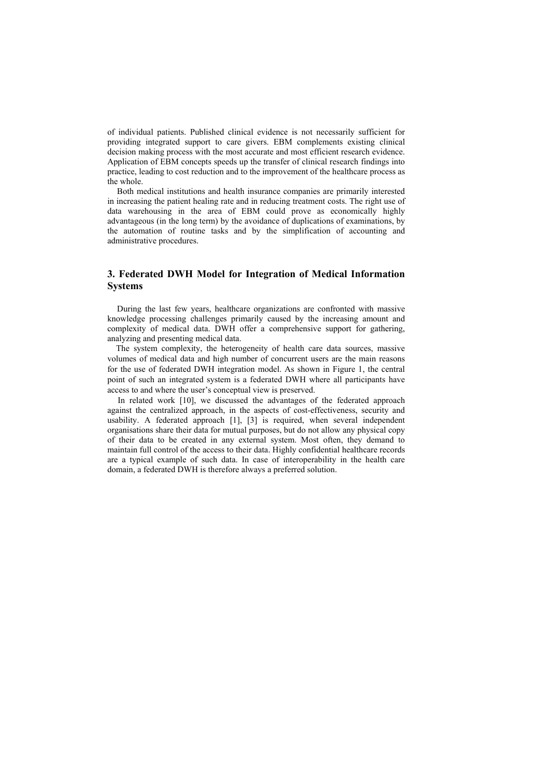of individual patients. Published clinical evidence is not necessarily sufficient for providing integrated support to care givers. EBM complements existing clinical decision making process with the most accurate and most efficient research evidence. Application of EBM concepts speeds up the transfer of clinical research findings into practice, leading to cost reduction and to the improvement of the healthcare process as the whole.

Both medical institutions and health insurance companies are primarily interested in increasing the patient healing rate and in reducing treatment costs. The right use of data warehousing in the area of EBM could prove as economically highly advantageous (in the long term) by the avoidance of duplications of examinations, by the automation of routine tasks and by the simplification of accounting and administrative procedures.

# **3. Federated DWH Model for Integration of Medical Information Systems**

During the last few years, healthcare organizations are confronted with massive knowledge processing challenges primarily caused by the increasing amount and complexity of medical data. DWH offer a comprehensive support for gathering, analyzing and presenting medical data.

The system complexity, the heterogeneity of health care data sources, massive volumes of medical data and high number of concurrent users are the main reasons for the use of federated DWH integration model. As shown in Figure 1, the central point of such an integrated system is a federated DWH where all participants have access to and where the user's conceptual view is preserved.

In related work [10], we discussed the advantages of the federated approach against the centralized approach, in the aspects of cost-effectiveness, security and usability. A federated approach [1], [3] is required, when several independent organisations share their data for mutual purposes, but do not allow any physical copy of their data to be created in any external system. Most often, they demand to maintain full control of the access to their data. Highly confidential healthcare records are a typical example of such data. In case of interoperability in the health care domain, a federated DWH is therefore always a preferred solution.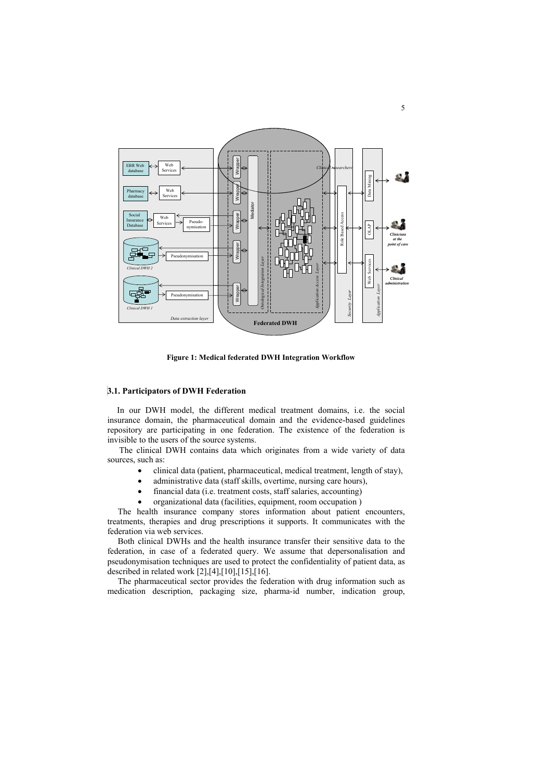

**Figure 1: Medical federated DWH Integration Workflow** 

# **3.1. Participators of DWH Federation**

In our DWH model, the different medical treatment domains, i.e. the social insurance domain, the pharmaceutical domain and the evidence-based guidelines repository are participating in one federation. The existence of the federation is invisible to the users of the source systems.

 The clinical DWH contains data which originates from a wide variety of data sources, such as:

- clinical data (patient, pharmaceutical, medical treatment, length of stay),
- administrative data (staff skills, overtime, nursing care hours),
- financial data (i.e. treatment costs, staff salaries, accounting)
- organizational data (facilities, equipment, room occupation )

The health insurance company stores information about patient encounters, treatments, therapies and drug prescriptions it supports. It communicates with the federation via web services.

Both clinical DWHs and the health insurance transfer their sensitive data to the federation, in case of a federated query. We assume that depersonalisation and pseudonymisation techniques are used to protect the confidentiality of patient data, as described in related work [2],[4],[10],[15],[16].

The pharmaceutical sector provides the federation with drug information such as medication description, packaging size, pharma-id number, indication group,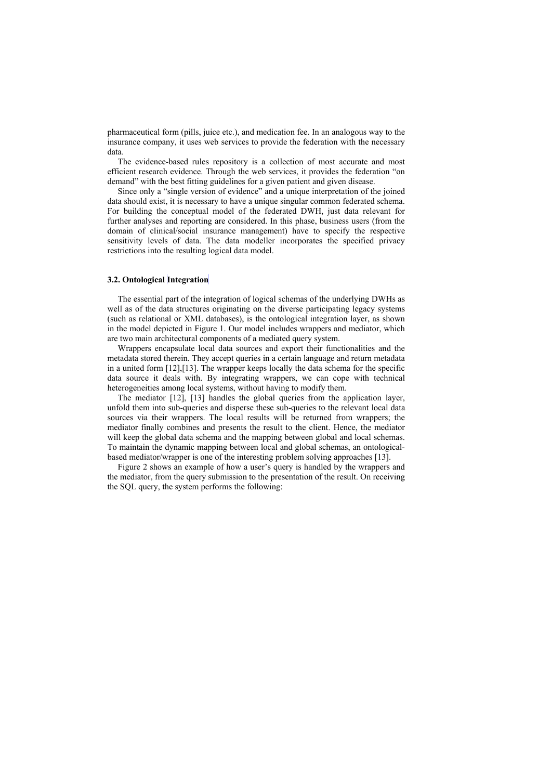pharmaceutical form (pills, juice etc.), and medication fee. In an analogous way to the insurance company, it uses web services to provide the federation with the necessary data.

The evidence-based rules repository is a collection of most accurate and most efficient research evidence. Through the web services, it provides the federation "on demand" with the best fitting guidelines for a given patient and given disease.

Since only a "single version of evidence" and a unique interpretation of the joined data should exist, it is necessary to have a unique singular common federated schema. For building the conceptual model of the federated DWH, just data relevant for further analyses and reporting are considered. In this phase, business users (from the domain of clinical/social insurance management) have to specify the respective sensitivity levels of data. The data modeller incorporates the specified privacy restrictions into the resulting logical data model.

#### **3.2. Ontological Integration**

The essential part of the integration of logical schemas of the underlying DWHs as well as of the data structures originating on the diverse participating legacy systems (such as relational or XML databases), is the ontological integration layer, as shown in the model depicted in Figure 1. Our model includes wrappers and mediator, which are two main architectural components of a mediated query system.

Wrappers encapsulate local data sources and export their functionalities and the metadata stored therein. They accept queries in a certain language and return metadata in a united form [12],[13]. The wrapper keeps locally the data schema for the specific data source it deals with. By integrating wrappers, we can cope with technical heterogeneities among local systems, without having to modify them.

The mediator [12], [13] handles the global queries from the application layer, unfold them into sub-queries and disperse these sub-queries to the relevant local data sources via their wrappers. The local results will be returned from wrappers; the mediator finally combines and presents the result to the client. Hence, the mediator will keep the global data schema and the mapping between global and local schemas. To maintain the dynamic mapping between local and global schemas, an ontologicalbased mediator/wrapper is one of the interesting problem solving approaches [13].

Figure 2 shows an example of how a user's query is handled by the wrappers and the mediator, from the query submission to the presentation of the result. On receiving the SQL query, the system performs the following: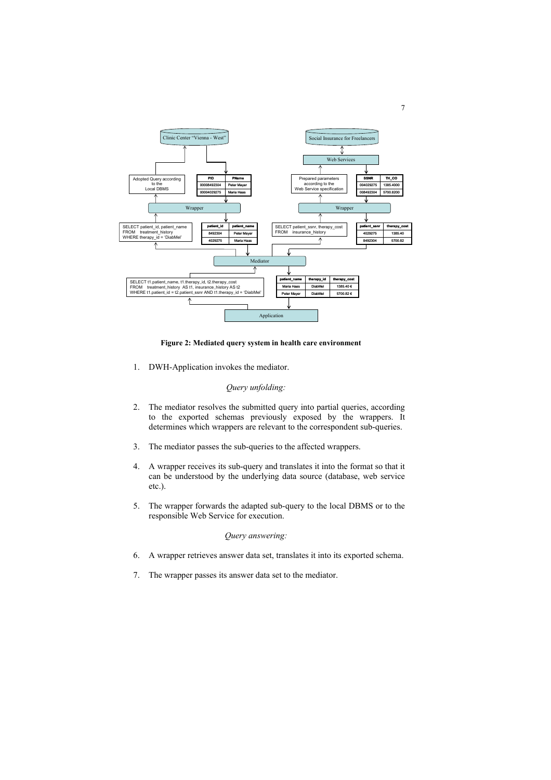

#### **Figure 2: Mediated query system in health care environment**

1. DWH-Application invokes the mediator.

### *Query unfolding:*

- 2. The mediator resolves the submitted query into partial queries, according to the exported schemas previously exposed by the wrappers. It determines which wrappers are relevant to the correspondent sub-queries.
- 3. The mediator passes the sub-queries to the affected wrappers.
- 4. A wrapper receives its sub-query and translates it into the format so that it can be understood by the underlying data source (database, web service etc.).
- 5. The wrapper forwards the adapted sub-query to the local DBMS or to the responsible Web Service for execution.

### *Query answering:*

- 6. A wrapper retrieves answer data set, translates it into its exported schema.
- 7. The wrapper passes its answer data set to the mediator.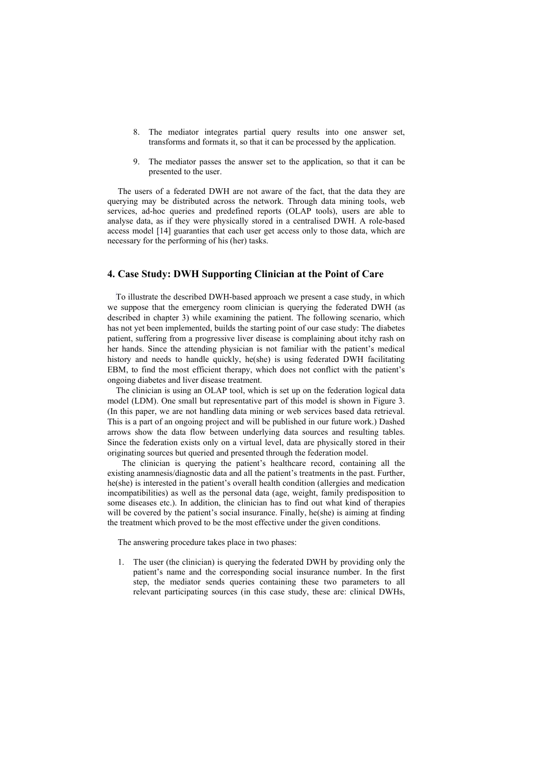- 8. The mediator integrates partial query results into one answer set, transforms and formats it, so that it can be processed by the application.
- 9. The mediator passes the answer set to the application, so that it can be presented to the user.

The users of a federated DWH are not aware of the fact, that the data they are querying may be distributed across the network. Through data mining tools, web services, ad-hoc queries and predefined reports (OLAP tools), users are able to analyse data, as if they were physically stored in a centralised DWH. A role-based access model [14] guaranties that each user get access only to those data, which are necessary for the performing of his (her) tasks.

### **4. Case Study: DWH Supporting Clinician at the Point of Care**

To illustrate the described DWH-based approach we present a case study, in which we suppose that the emergency room clinician is querying the federated DWH (as described in chapter 3) while examining the patient. The following scenario, which has not yet been implemented, builds the starting point of our case study: The diabetes patient, suffering from a progressive liver disease is complaining about itchy rash on her hands. Since the attending physician is not familiar with the patient's medical history and needs to handle quickly, he(she) is using federated DWH facilitating EBM, to find the most efficient therapy, which does not conflict with the patient's ongoing diabetes and liver disease treatment.

The clinician is using an OLAP tool, which is set up on the federation logical data model (LDM). One small but representative part of this model is shown in Figure 3. (In this paper, we are not handling data mining or web services based data retrieval. This is a part of an ongoing project and will be published in our future work.) Dashed arrows show the data flow between underlying data sources and resulting tables. Since the federation exists only on a virtual level, data are physically stored in their originating sources but queried and presented through the federation model.

 The clinician is querying the patient's healthcare record, containing all the existing anamnesis/diagnostic data and all the patient's treatments in the past. Further, he(she) is interested in the patient's overall health condition (allergies and medication incompatibilities) as well as the personal data (age, weight, family predisposition to some diseases etc.). In addition, the clinician has to find out what kind of therapies will be covered by the patient's social insurance. Finally, he(she) is aiming at finding the treatment which proved to be the most effective under the given conditions.

The answering procedure takes place in two phases:

1. The user (the clinician) is querying the federated DWH by providing only the patient's name and the corresponding social insurance number. In the first step, the mediator sends queries containing these two parameters to all relevant participating sources (in this case study, these are: clinical DWHs,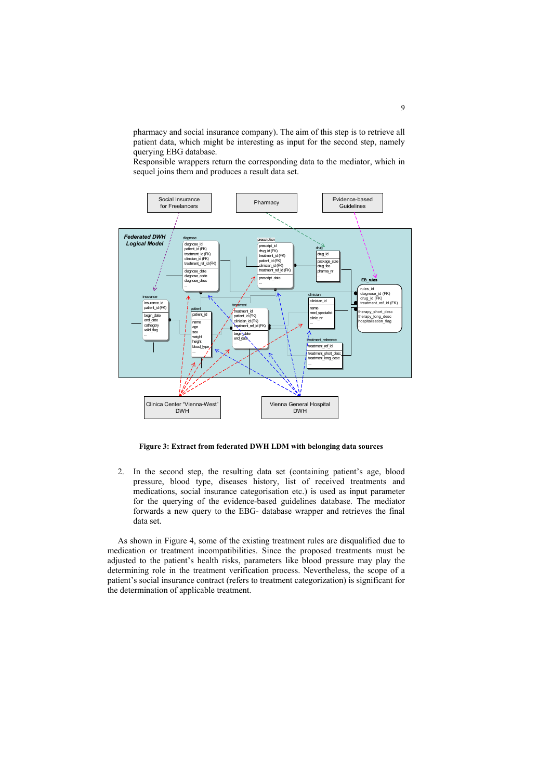pharmacy and social insurance company). The aim of this step is to retrieve all patient data, which might be interesting as input for the second step, namely querying EBG database.

Responsible wrappers return the corresponding data to the mediator, which in sequel joins them and produces a result data set.



**Figure 3: Extract from federated DWH LDM with belonging data sources** 

2. In the second step, the resulting data set (containing patient's age, blood pressure, blood type, diseases history, list of received treatments and medications, social insurance categorisation etc.) is used as input parameter for the querying of the evidence-based guidelines database. The mediator forwards a new query to the EBG- database wrapper and retrieves the final data set.

As shown in Figure 4, some of the existing treatment rules are disqualified due to medication or treatment incompatibilities. Since the proposed treatments must be adjusted to the patient's health risks, parameters like blood pressure may play the determining role in the treatment verification process. Nevertheless, the scope of a patient's social insurance contract (refers to treatment categorization) is significant for the determination of applicable treatment.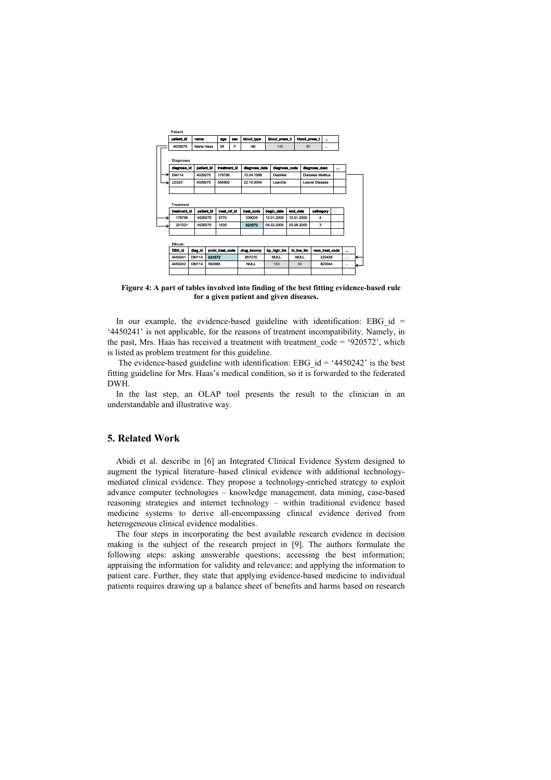| patient id                | name         |        | 800              | <b>SOX</b> | blood type     | blood_press_h  |            | blood_press_i |                          | $\cdots$ |          |
|---------------------------|--------------|--------|------------------|------------|----------------|----------------|------------|---------------|--------------------------|----------|----------|
| 4029275                   | Maria Haas   |        | 65               | F          | A <sub>B</sub> | 140            |            | 80            |                          |          |          |
| <b>Diagnoses</b>          |              |        |                  |            |                |                |            |               |                          |          |          |
| diagnose id               | patient id   |        | treatment id     |            | diagnose_date  | diagnose_code  |            |               | diagnose gesc            |          | $\cdots$ |
| DM114                     | 4029275      |        | 178756           |            | 10.04.1998     | <b>DiabMel</b> |            |               | <b>Diabetes Mellitus</b> |          |          |
| LD323                     | 4029275      |        | 556802           |            | 22 10 2004     | I eavDis       |            |               | <b>Leaver Disease</b>    |          |          |
|                           |              |        |                  |            |                |                |            |               |                          |          |          |
|                           |              |        |                  |            |                |                |            |               |                          |          |          |
| Treatment<br>treatment id | patient_id   |        | treat_ref_id     |            | treat code     | begin_date     | end_date   |               | cathegory                |          | as a     |
| 178756                    | 4029275      |        | 0770             |            | 339025         | 12 01 2000     |            | 12 01 2000    | $\overline{\mathbf{A}}$  |          |          |
| 321321                    | 4029275      |        | 1035             |            | 920572         | 04 02 2000     | 03.08.2000 |               | 3                        |          |          |
|                           |              |        |                  |            |                |                |            |               |                          |          |          |
| <b>EBrule</b>             |              |        |                  |            |                |                |            |               |                          |          |          |
| EBG Id                    | dieg id      |        | probl_treat_code |            | drug_incomp    | bp_high_lim    |            | bi low lim    | reco_treat_code          |          |          |
| 4450241                   | <b>DM114</b> | 920572 |                  |            | 857215         | NULL.          |            | NULL.         |                          | 222435   |          |

**Figure 4: A part of tables involved into finding of the best fitting evidence-based rule for a given patient and given diseases.** 

In our example, the evidence-based guideline with identification: EBG id = '4450241' is not applicable, for the reasons of treatment incompatibility. Namely, in the past, Mrs. Haas has received a treatment with treatment  $\text{code} = '920572'$ , which is listed as problem treatment for this guideline.

 The evidence-based guideline with identification: EBG\_id = '4450242' is the best fitting guideline for Mrs. Haas's medical condition, so it is forwarded to the federated DWH.

In the last step, an OLAP tool presents the result to the clinician in an understandable and illustrative way.

### **5. Related Work**

Abidi et al. describe in [6] an Integrated Clinical Evidence System designed to augment the typical literature–based clinical evidence with additional technologymediated clinical evidence. They propose a technology-enriched strategy to exploit advance computer technologies – knowledge management, data mining, case-based reasoning strategies and internet technology – within traditional evidence based medicine systems to derive all-encompassing clinical evidence derived from heterogeneous clinical evidence modalities.

The four steps in incorporating the best available research evidence in decision making is the subject of the research project in [9]. The authors formulate the following steps: asking answerable questions; accessing the best information; appraising the information for validity and relevance; and applying the information to patient care. Further, they state that applying evidence-based medicine to individual patients requires drawing up a balance sheet of benefits and harms based on research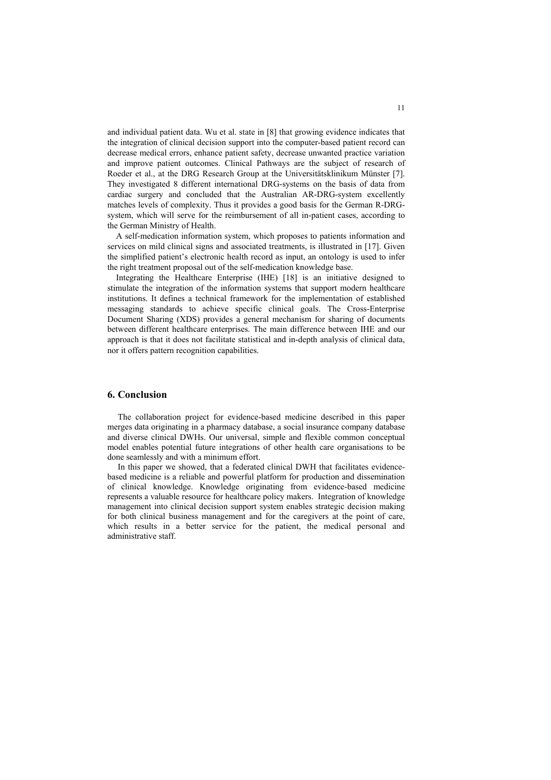and individual patient data. Wu et al. state in [8] that growing evidence indicates that the integration of clinical decision support into the computer-based patient record can decrease medical errors, enhance patient safety, decrease unwanted practice variation and improve patient outcomes. Clinical Pathways are the subject of research of Roeder et al., at the DRG Research Group at the Universitätsklinikum Münster [7]. They investigated 8 different international DRG-systems on the basis of data from cardiac surgery and concluded that the Australian AR-DRG-system excellently matches levels of complexity. Thus it provides a good basis for the German R-DRGsystem, which will serve for the reimbursement of all in-patient cases, according to the German Ministry of Health.

A self-medication information system, which proposes to patients information and services on mild clinical signs and associated treatments, is illustrated in [17]. Given the simplified patient's electronic health record as input, an ontology is used to infer the right treatment proposal out of the self-medication knowledge base.

Integrating the Healthcare Enterprise (IHE) [18] is an initiative designed to stimulate the integration of the information systems that support modern healthcare institutions. It defines a technical framework for the implementation of established messaging standards to achieve specific clinical goals. The Cross-Enterprise Document Sharing (XDS) provides a general mechanism for sharing of documents between different healthcare enterprises. The main difference between IHE and our approach is that it does not facilitate statistical and in-depth analysis of clinical data, nor it offers pattern recognition capabilities.

#### **6. Conclusion**

The collaboration project for evidence-based medicine described in this paper merges data originating in a pharmacy database, a social insurance company database and diverse clinical DWHs. Our universal, simple and flexible common conceptual model enables potential future integrations of other health care organisations to be done seamlessly and with a minimum effort.

In this paper we showed, that a federated clinical DWH that facilitates evidencebased medicine is a reliable and powerful platform for production and dissemination of clinical knowledge. Knowledge originating from evidence-based medicine represents a valuable resource for healthcare policy makers. Integration of knowledge management into clinical decision support system enables strategic decision making for both clinical business management and for the caregivers at the point of care, which results in a better service for the patient, the medical personal and administrative staff.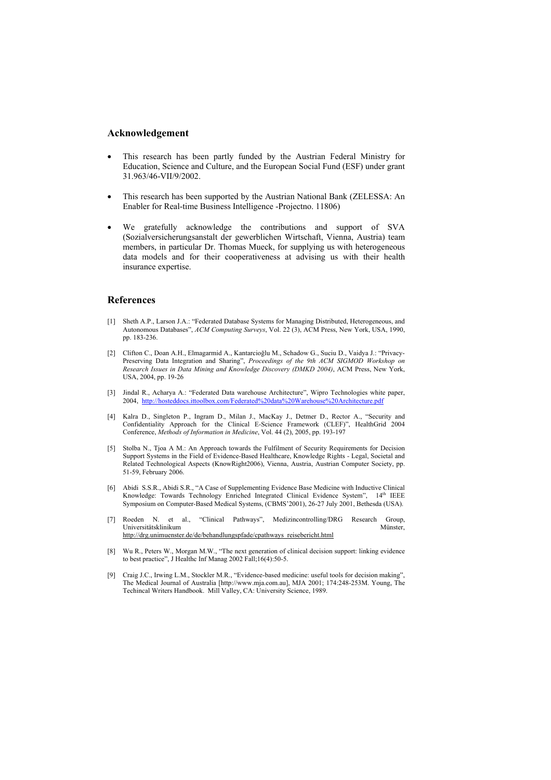#### **Acknowledgement**

- This research has been partly funded by the Austrian Federal Ministry for Education, Science and Culture, and the European Social Fund (ESF) under grant 31.963/46-VII/9/2002.
- This research has been supported by the Austrian National Bank (ZELESSA: An Enabler for Real-time Business Intelligence -Projectno. 11806)
- We gratefully acknowledge the contributions and support of SVA (Sozialversicherungsanstalt der gewerblichen Wirtschaft, Vienna, Austria) team members, in particular Dr. Thomas Mueck, for supplying us with heterogeneous data models and for their cooperativeness at advising us with their health insurance expertise.

## **References**

- [1] Sheth A.P., Larson J.A.: "Federated Database Systems for Managing Distributed, Heterogeneous, and Autonomous Databases", *ACM Computing Surveys*, Vol. 22 (3), ACM Press, New York, USA, 1990, pp. 183-236.
- [2] Clifton C., Doan A.H., Elmagarmid A., Kantarcioğlu M., Schadow G., Suciu D., Vaidya J.: "Privacy-Preserving Data Integration and Sharing", *Proceedings of the 9th ACM SIGMOD Workshop on Research Issues in Data Mining and Knowledge Discovery (DMKD 2004)*, ACM Press, New York, USA, 2004, pp. 19-26
- [3] Jindal R., Acharya A.: "Federated Data warehouse Architecture", Wipro Technologies white paper, 2004, http://hosteddocs.ittoolbox.com/Federated%20data%20Warehouse%20Architecture.pdf
- [4] Kalra D., Singleton P., Ingram D., Milan J., MacKay J., Detmer D., Rector A., "Security and Confidentiality Approach for the Clinical E-Science Framework (CLEF)", HealthGrid 2004 Conference, *Methods of Information in Medicine*, Vol. 44 (2), 2005, pp. 193-197
- [5] Stolba N., Tjoa A M.: An Approach towards the Fulfilment of Security Requirements for Decision Support Systems in the Field of Evidence-Based Healthcare, Knowledge Rights - Legal, Societal and Related Technological Aspects (KnowRight2006), Vienna, Austria, Austrian Computer Society, pp. 51-59, February 2006.
- [6] Abidi S.S.R., Abidi S.R., "A Case of Supplementing Evidence Base Medicine with Inductive Clinical Knowledge: Towards Technology Enriched Integrated Clinical Evidence System", Symposium on Computer-Based Medical Systems, (CBMS'2001), 26-27 July 2001, Bethesda (USA).
- [7] Roeden N. et al., "Clinical Pathways", Medizincontrolling/DRG Research Group, Universitätsklinikum Münster, Münster, Münster, Münster, Münster, Münster, Münster, Münster, Münster, Münster, http://drg.unimuenster.de/de/behandlungspfade/cpathways\_reisebericht.html
- [8] Wu R., Peters W., Morgan M.W., "The next generation of clinical decision support: linking evidence to best practice", J Healthc Inf Manag 2002 Fall;16(4):50-5.
- [9] Craig J.C., Irwing L.M., Stockler M.R., "Evidence-based medicine: useful tools for decision making", The Medical Journal of Australia [http://www.mja.com.au], MJA 2001; 174:248-253M. Young, The Techincal Writers Handbook. Mill Valley, CA: University Science, 1989.